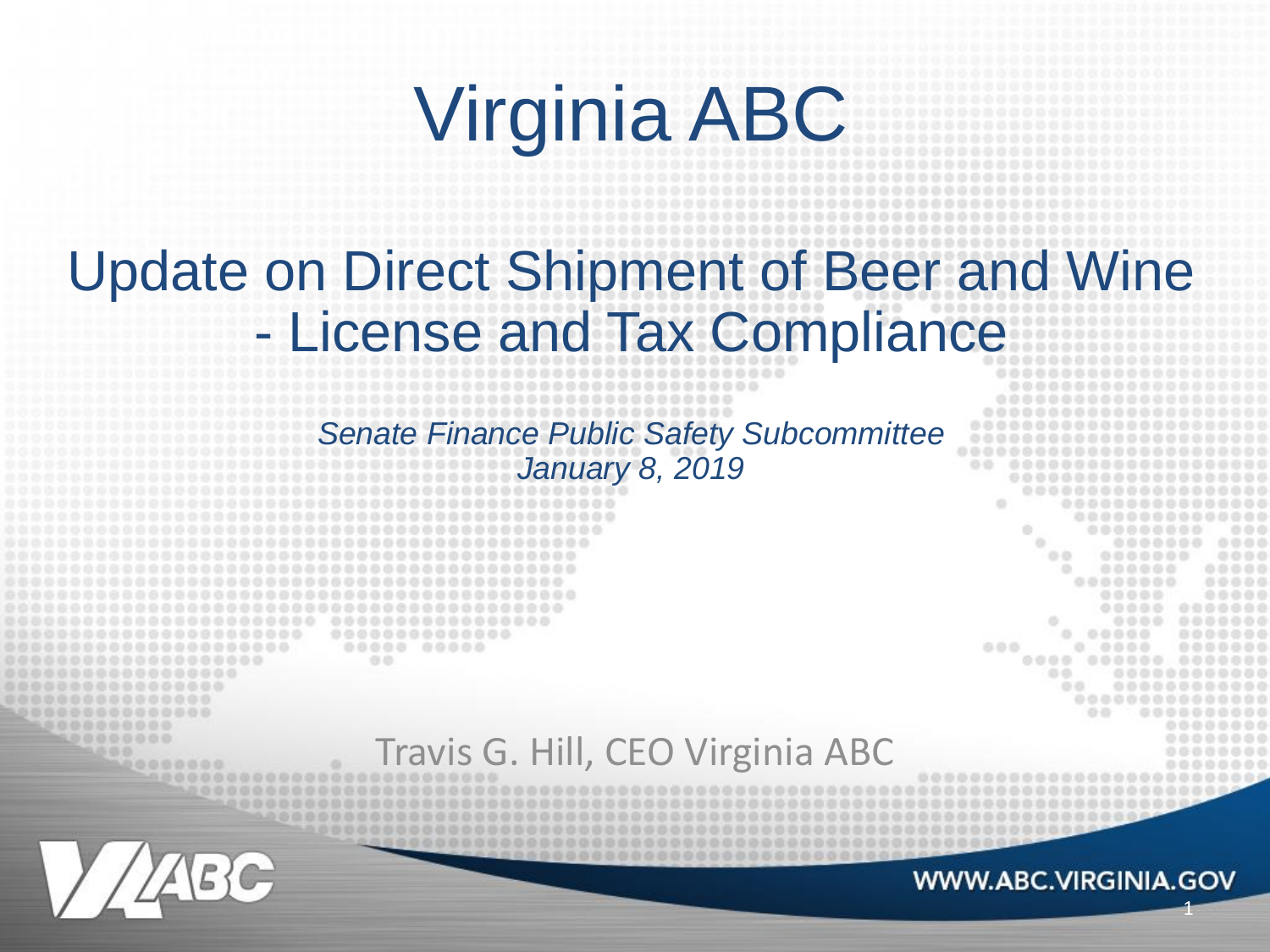# Virginia ABC

#### Update on Direct Shipment of Beer and Wine - License and Tax Compliance

*Senate Finance Public Safety Subcommittee January 8, 2019*

#### Travis G. Hill, CEO Virginia ABC

 $0.0.00$ 

1

000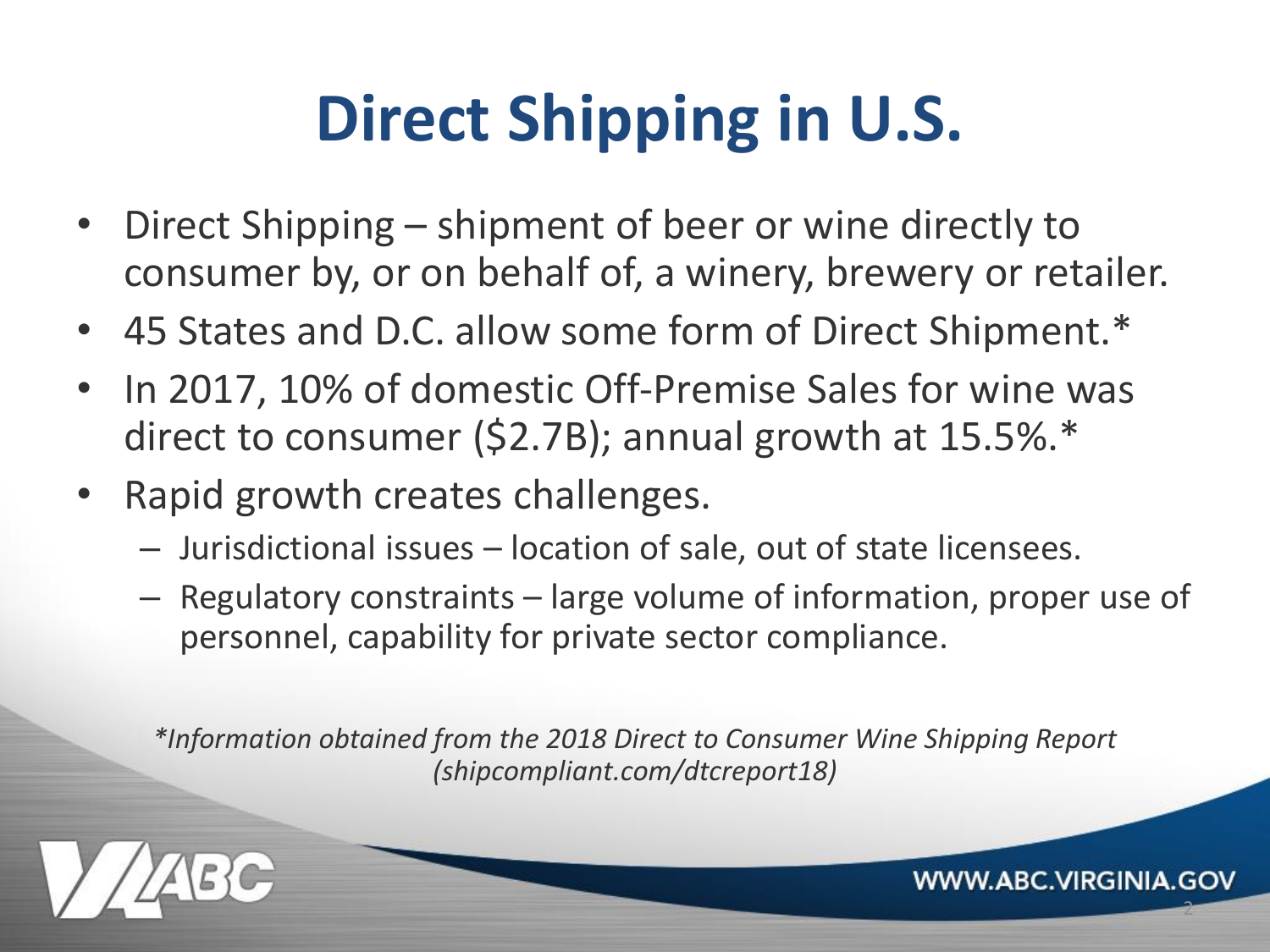## **Direct Shipping in U.S.**

- Direct Shipping shipment of beer or wine directly to consumer by, or on behalf of, a winery, brewery or retailer.
- 45 States and D.C. allow some form of Direct Shipment.\*
- In 2017, 10% of domestic Off-Premise Sales for wine was direct to consumer (\$2.7B); annual growth at 15.5%.\*
- Rapid growth creates challenges.
	- Jurisdictional issues location of sale, out of state licensees.
	- Regulatory constraints large volume of information, proper use of personnel, capability for private sector compliance.

*\*Information obtained from the 2018 Direct to Consumer Wine Shipping Report (shipcompliant.com/dtcreport18)*



**WWW.ABC.VIRGINIA.GOV** 

2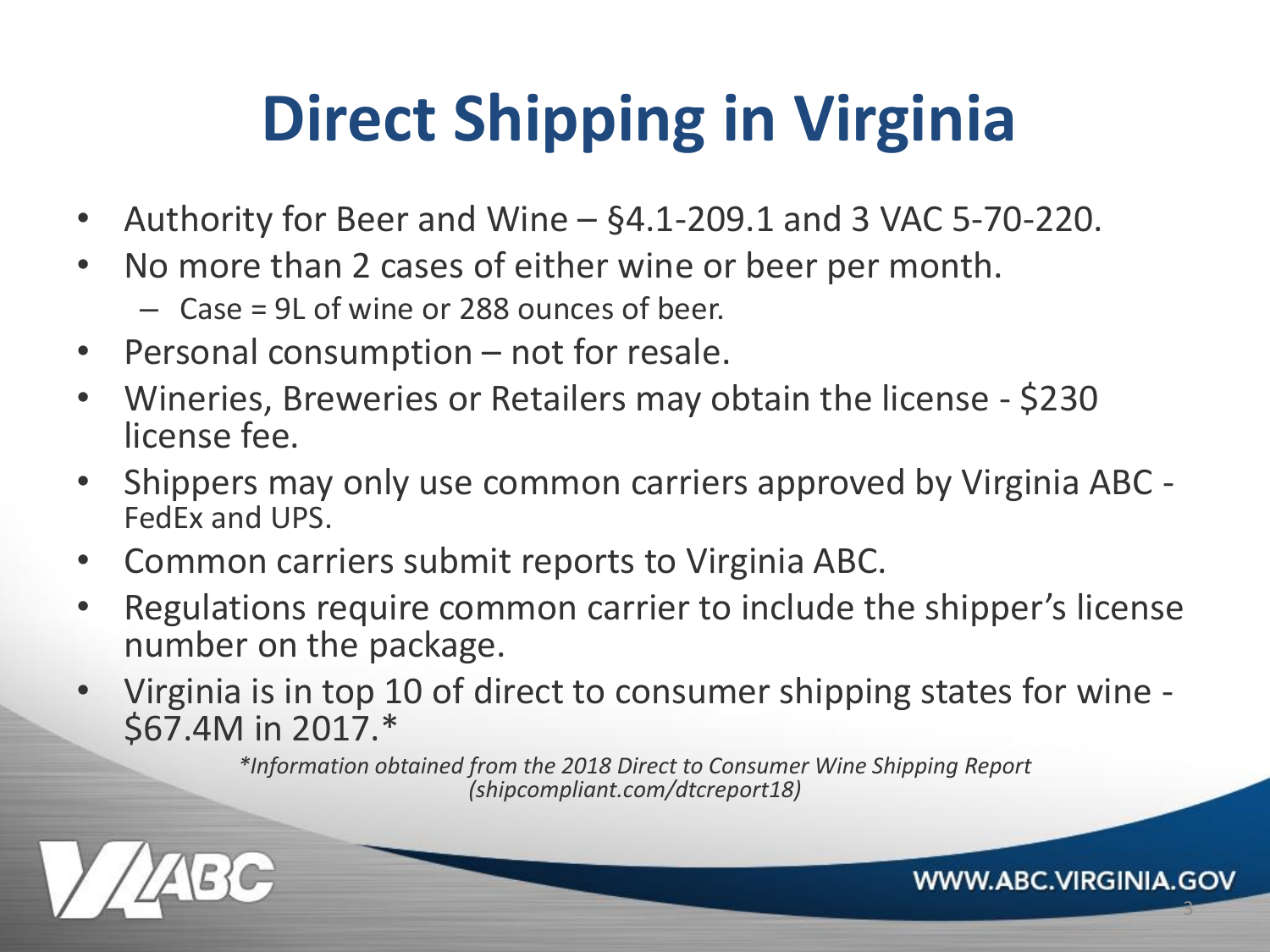## **Direct Shipping in Virginia**

- Authority for Beer and Wine  $\S4.1$ -209.1 and 3 VAC 5-70-220.
- No more than 2 cases of either wine or beer per month.

– Case = 9L of wine or 288 ounces of beer.

- Personal consumption not for resale.
- Wineries, Breweries or Retailers may obtain the license \$230 license fee.
- Shippers may only use common carriers approved by Virginia ABC FedEx and UPS.
- Common carriers submit reports to Virginia ABC.
- Regulations require common carrier to include the shipper's license number on the package.
- Virginia is in top 10 of direct to consumer shipping states for wine \$67.4M in 2017.\*

*\*Information obtained from the 2018 Direct to Consumer Wine Shipping Report (shipcompliant.com/dtcreport18)*

3

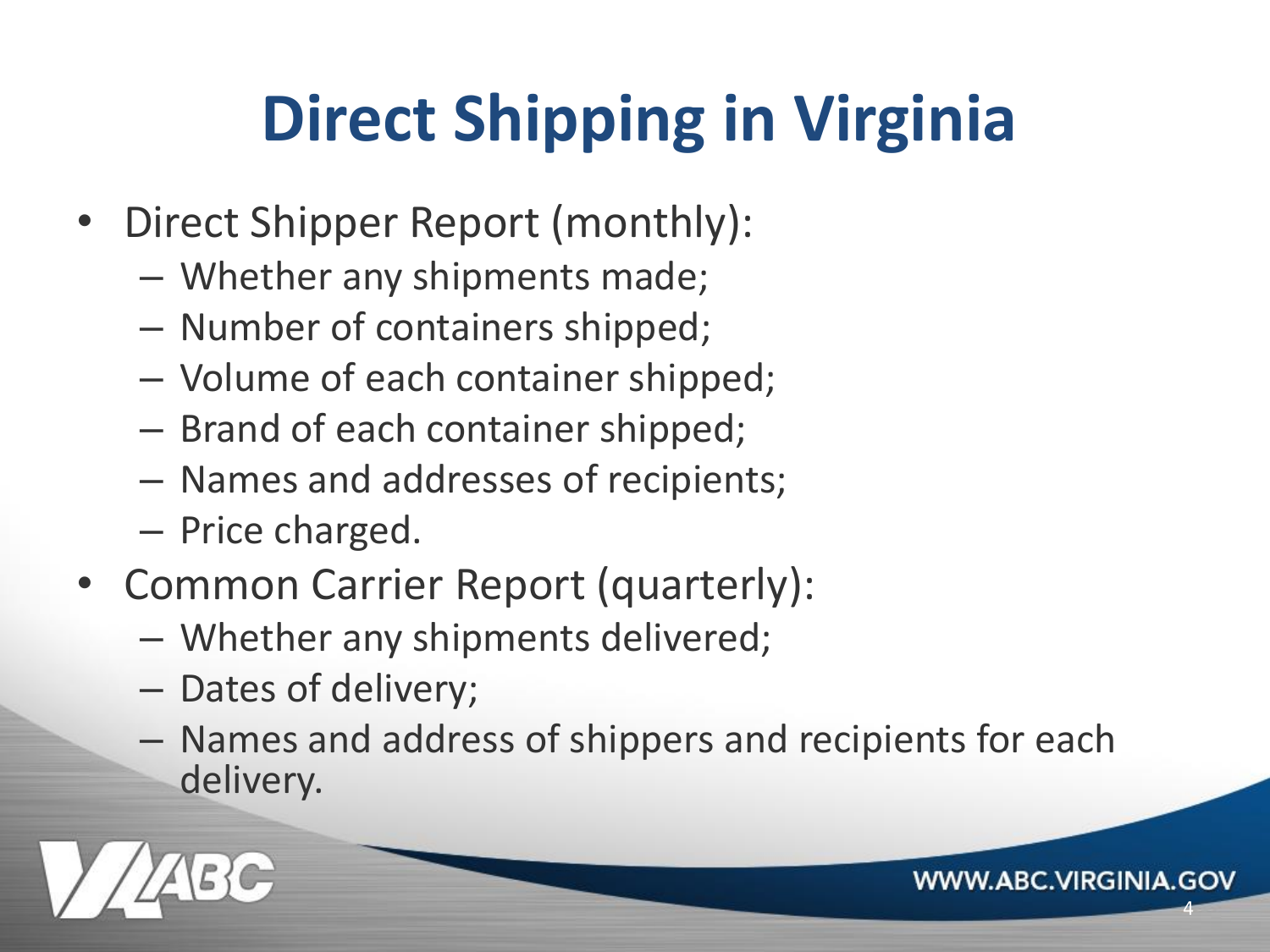## **Direct Shipping in Virginia**

- Direct Shipper Report (monthly):
	- Whether any shipments made;
	- Number of containers shipped;
	- Volume of each container shipped;
	- Brand of each container shipped;
	- Names and addresses of recipients;
	- Price charged.
- Common Carrier Report (quarterly):
	- Whether any shipments delivered;
	- Dates of delivery;
	- Names and address of shippers and recipients for each delivery.

4

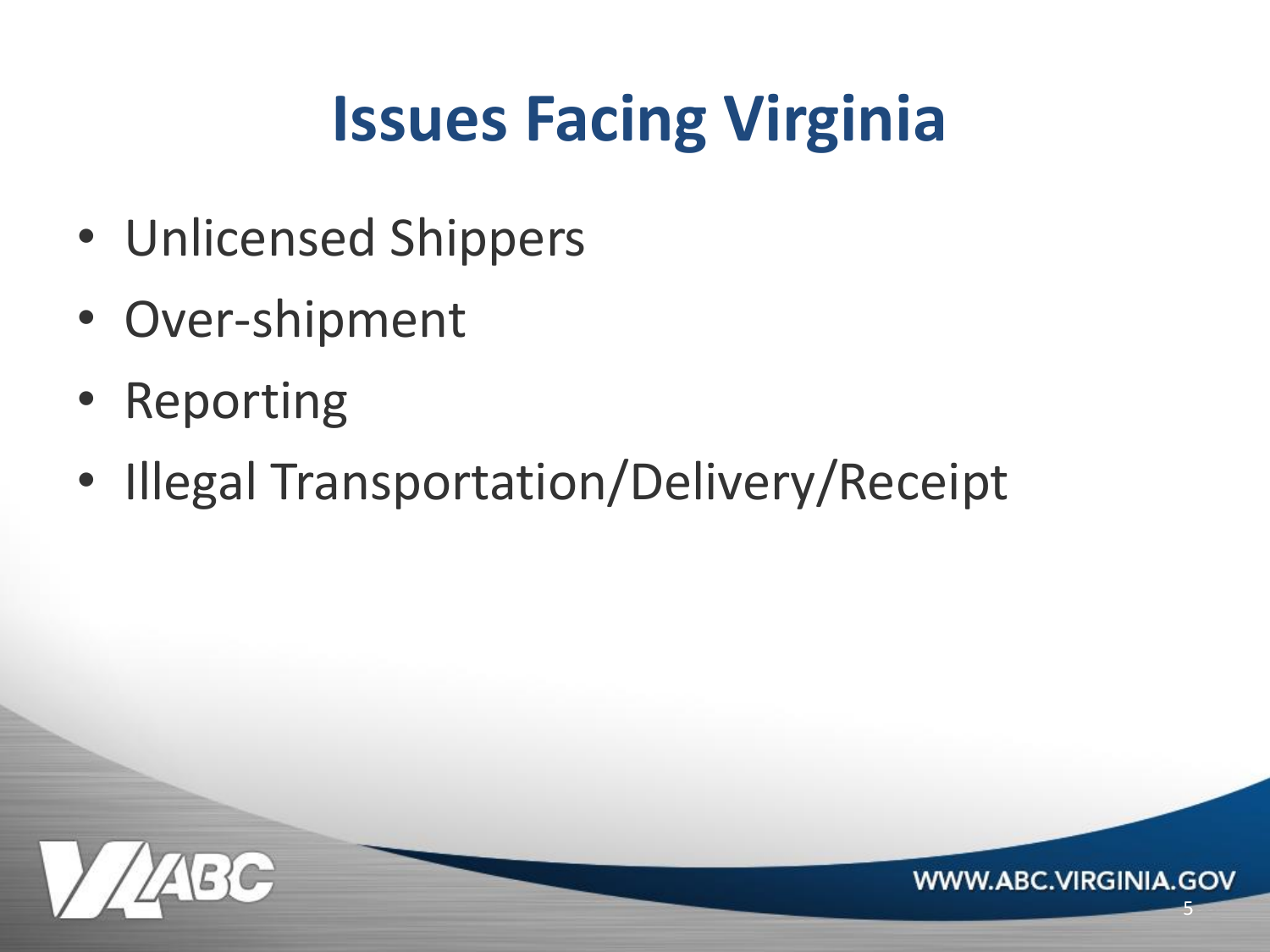## **Issues Facing Virginia**

5

- Unlicensed Shippers
- Over-shipment
- Reporting
- Illegal Transportation/Delivery/Receipt

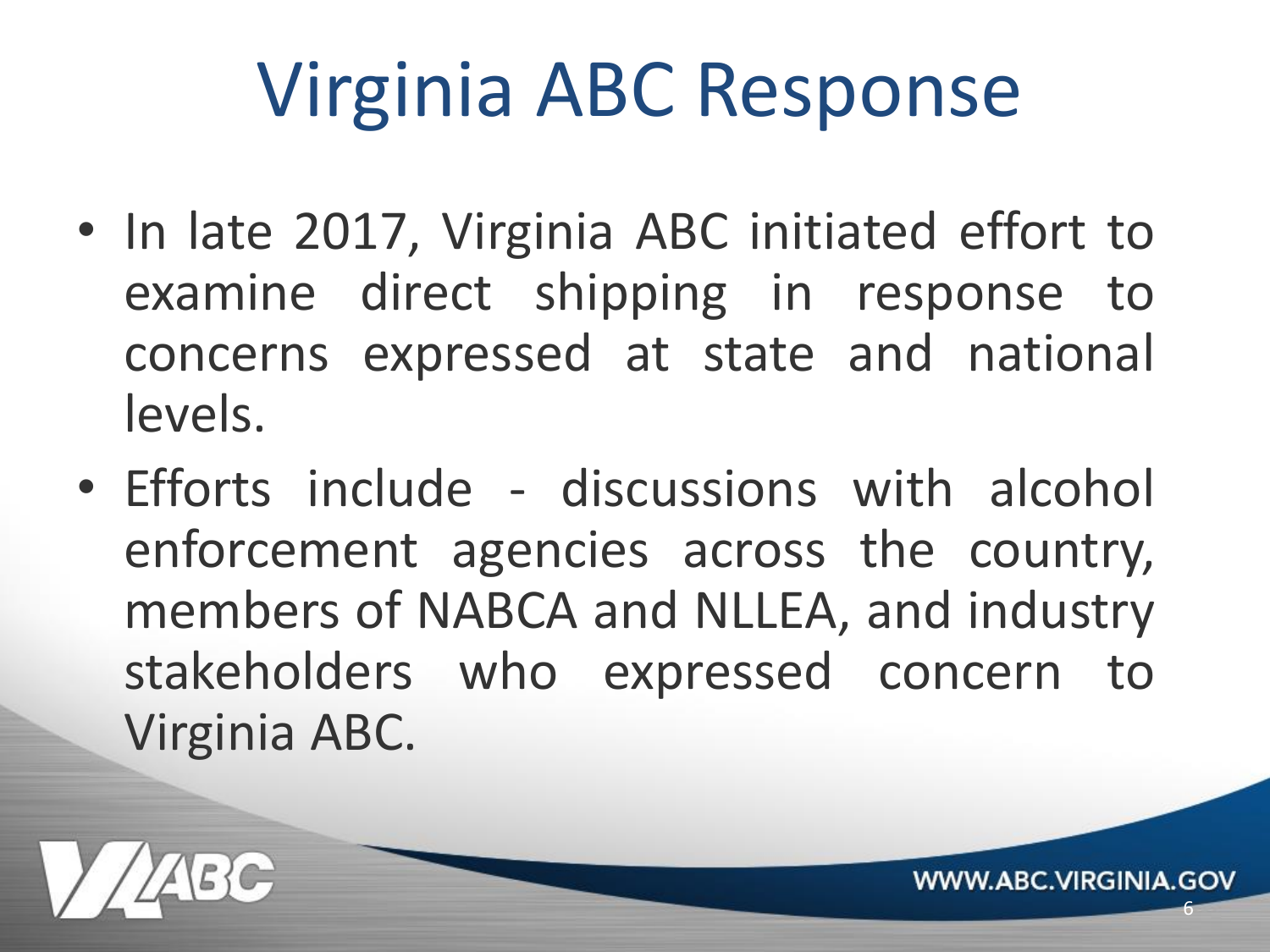# Virginia ABC Response

- In late 2017, Virginia ABC initiated effort to examine direct shipping in response to concerns expressed at state and national levels.
- Efforts include discussions with alcohol enforcement agencies across the country, members of NABCA and NLLEA, and industry stakeholders who expressed concern to Virginia ABC.

6

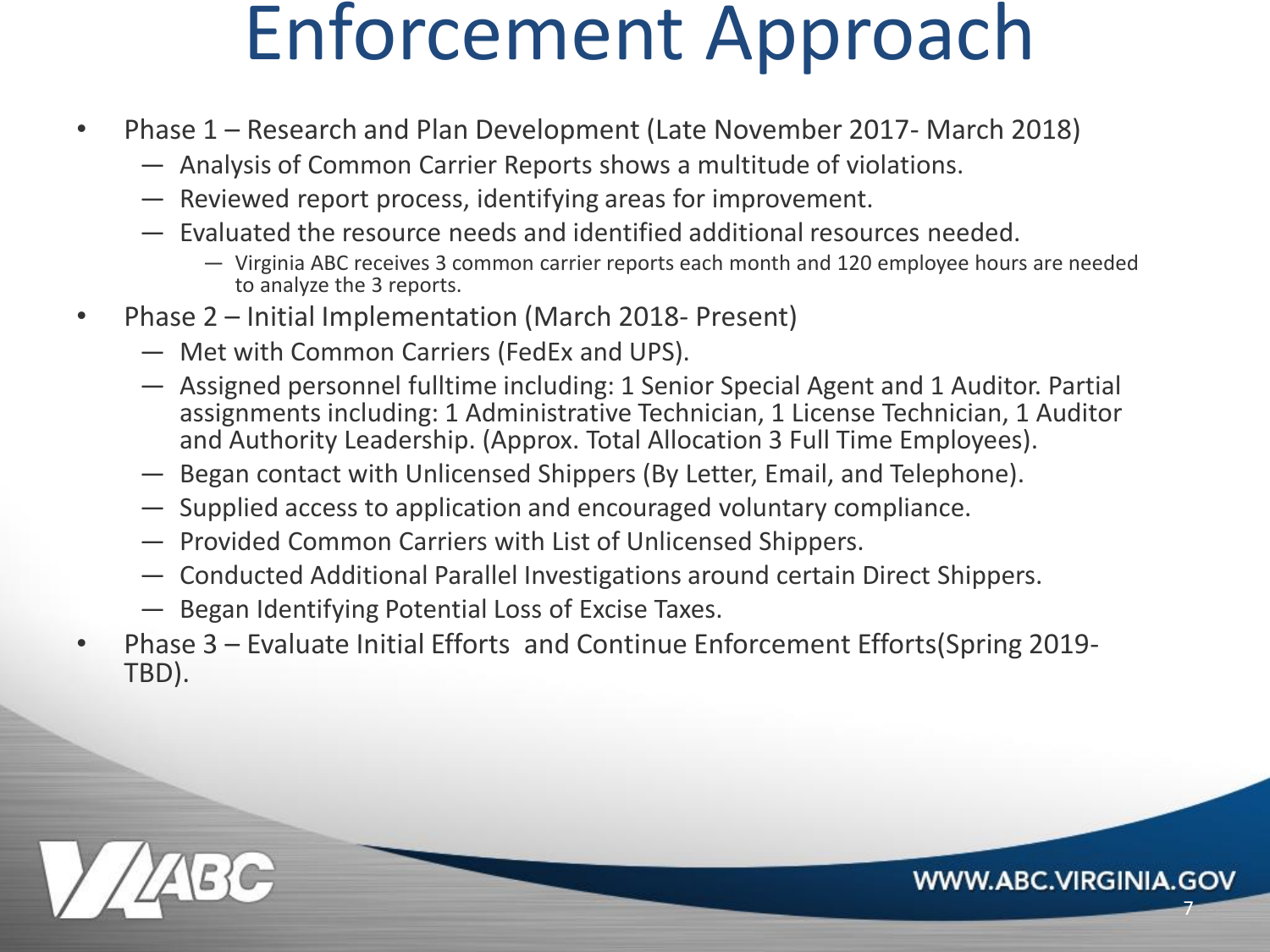## Enforcement Approach

- Phase 1 Research and Plan Development (Late November 2017- March 2018)
	- Analysis of Common Carrier Reports shows a multitude of violations.
	- Reviewed report process, identifying areas for improvement.
	- Evaluated the resource needs and identified additional resources needed.
		- Virginia ABC receives 3 common carrier reports each month and 120 employee hours are needed to analyze the 3 reports.

7

- Phase 2 Initial Implementation (March 2018- Present)
	- Met with Common Carriers (FedEx and UPS).
	- Assigned personnel fulltime including: 1 Senior Special Agent and 1 Auditor. Partial assignments including: 1 Administrative Technician, 1 License Technician, 1 Auditor and Authority Leadership. (Approx. Total Allocation 3 Full Time Employees).
	- Began contact with Unlicensed Shippers (By Letter, Email, and Telephone).
	- Supplied access to application and encouraged voluntary compliance.
	- Provided Common Carriers with List of Unlicensed Shippers.
	- Conducted Additional Parallel Investigations around certain Direct Shippers.
	- Began Identifying Potential Loss of Excise Taxes.
- Phase 3 Evaluate Initial Efforts and Continue Enforcement Efforts(Spring 2019- TBD).

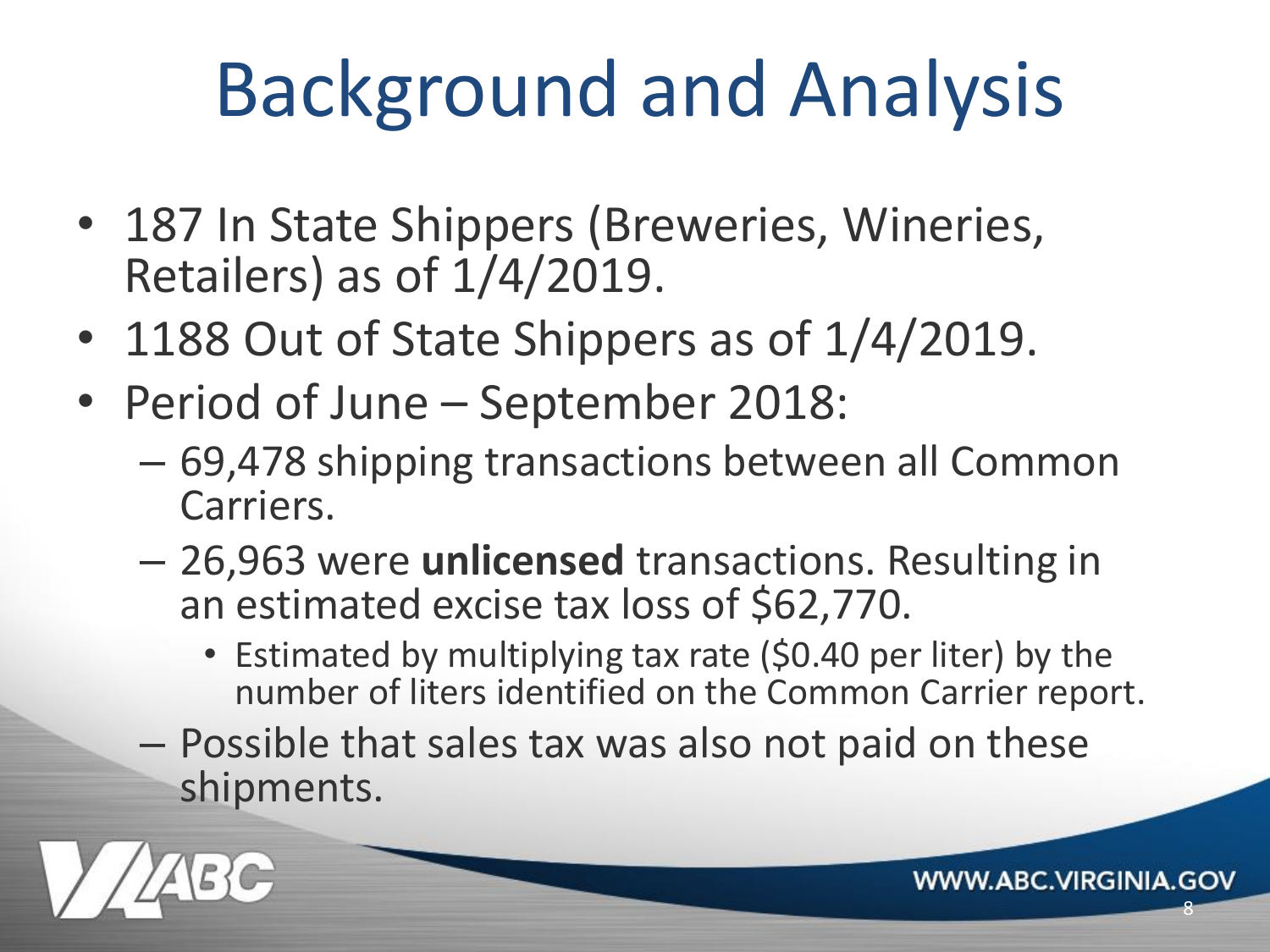# Background and Analysis

- 187 In State Shippers (Breweries, Wineries, Retailers) as of 1/4/2019.
- 1188 Out of State Shippers as of 1/4/2019.
- Period of June September 2018:
	- 69,478 shipping transactions between all Common Carriers.
	- 26,963 were **unlicensed** transactions. Resulting in an estimated excise tax loss of \$62,770.
		- Estimated by multiplying tax rate (\$0.40 per liter) by the number of liters identified on the Common Carrier report.
	- Possible that sales tax was also not paid on these shipments.

**WWW.ABC.VIRGINIA.GOV** 

8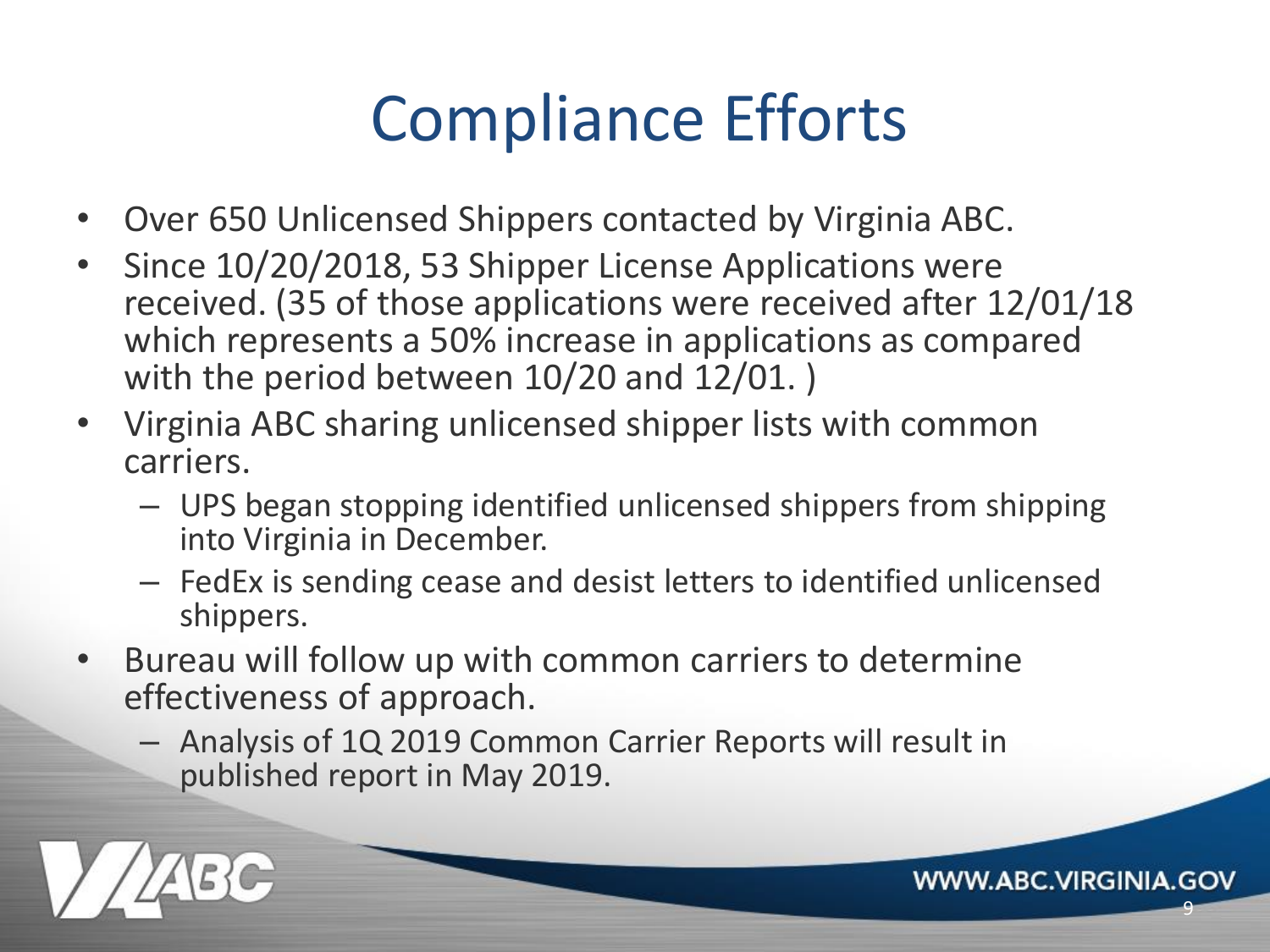#### Compliance Efforts

- Over 650 Unlicensed Shippers contacted by Virginia ABC.
- Since 10/20/2018, 53 Shipper License Applications were received. (35 of those applications were received after 12/01/18 which represents a 50% increase in applications as compared with the period between 10/20 and 12/01. )
- Virginia ABC sharing unlicensed shipper lists with common carriers.
	- UPS began stopping identified unlicensed shippers from shipping into Virginia in December.
	- FedEx is sending cease and desist letters to identified unlicensed shippers.

9

- Bureau will follow up with common carriers to determine effectiveness of approach.
	- Analysis of 1Q 2019 Common Carrier Reports will result in published report in May 2019.